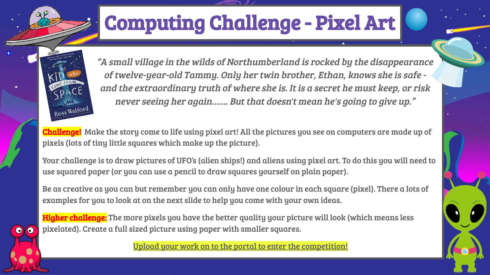## Computing Challenge - Pixel Art



 $\bullet$ 

"A small village in the wilds of Northumberland is rocked by the disappearance of twelve-year-old Tammy. Only her twin brother, Ethan, knows she is safe and the extraordinary truth of where she is. It is a secret he must keep, or risk never seeing her again……. But that doesn't mean he's going to give up."

Challenge! Make the story come to life using pixel art! All the pictures you see on computers are made up of pixels (lots of tiny little squares which make up the picture).

Your challenge is to draw pictures of UFO's (alien ships!) and aliens using pixel art. To do this you will need to use squared paper (or you can use a pencil to draw squares yourself on plain paper).

Be as creative as you can but remember you can only have one colour in each square (pixel). There a lots of examples for you to look at on the next slide to help you come with your own ideas.

**Higher challenge:** The more pixels you have the better quality your picture will look (which means less pixelated). Create a full sized picture using paper with smaller squares.

Upload your work on to the portal to enter the competition!